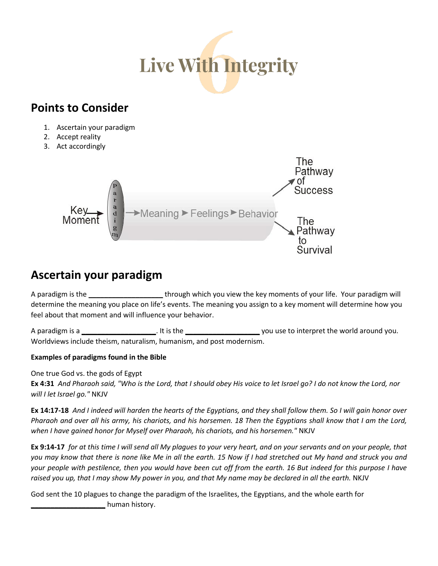

## **Points to Consider**

- 1. Ascertain your paradigm
- 2. Accept reality
- 3. Act accordingly



## **Ascertain your paradigm**

A paradigm is the **\_\_\_\_\_\_\_\_\_\_\_\_\_\_\_\_\_\_\_** through which you view the key moments of your life. Your paradigm will determine the meaning you place on life's events. The meaning you assign to a key moment will determine how you feel about that moment and will influence your behavior.

A paradigm is a **\_\_\_\_\_\_\_\_\_\_\_\_\_\_\_\_\_\_\_**. It is the **\_\_\_\_\_\_\_\_\_\_\_\_\_\_\_\_\_\_\_** you use to interpret the world around you. Worldviews include theism, naturalism, humanism, and post modernism.

#### **Examples of paradigms found in the Bible**

One true God vs. the gods of Egypt

**Ex 4:31** *And Pharaoh said, "Who is the Lord, that I should obey His voice to let Israel go? I do not know the Lord, nor will I let Israel go."* NKJV

**Ex 14:17-18** *And I indeed will harden the hearts of the Egyptians, and they shall follow them. So I will gain honor over Pharaoh and over all his army, his chariots, and his horsemen. 18 Then the Egyptians shall know that I am the Lord, when I have gained honor for Myself over Pharaoh, his chariots, and his horsemen."* NKJV

**Ex 9:14-17** *for at this time I will send all My plagues to your very heart, and on your servants and on your people, that*  you may know that there is none like Me in all the earth. 15 Now if I had stretched out My hand and struck you and *your people with pestilence, then you would have been cut off from the earth. 16 But indeed for this purpose I have*  raised you up, that I may show My power in you, and that My name may be declared in all the earth. NKJV

God sent the 10 plagues to change the paradigm of the Israelites, the Egyptians, and the whole earth for **\_\_\_\_\_\_\_\_\_\_\_\_\_\_\_\_\_\_\_** human history.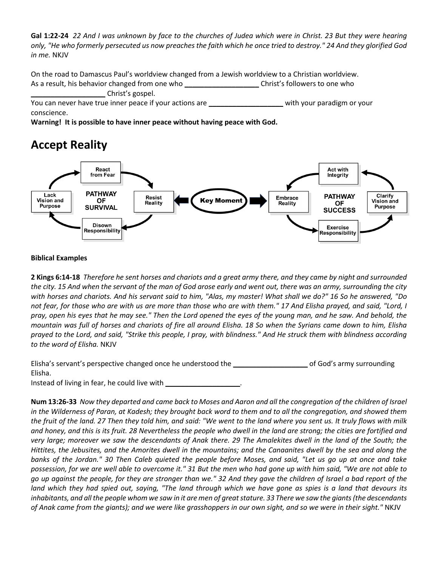**Gal 1:22-24** *22 And I was unknown by face to the churches of Judea which were in Christ. 23 But they were hearing only, "He who formerly persecuted us now preaches the faith which he once tried to destroy." 24 And they glorified God in me.* NKJV

On the road to Damascus Paul's worldview changed from a Jewish worldview to a Christian worldview. As a result, his behavior changed from one who **being a contract to the state of the contract** one who **\_\_\_\_\_\_\_\_\_\_\_\_\_\_\_\_\_\_\_** Christ's gospel.

You can never have true inner peace if your actions are **\_\_\_\_\_\_\_\_\_\_\_\_\_\_\_\_\_\_\_** with your paradigm or your conscience.

**Warning! It is possible to have inner peace without having peace with God.**

# **Accept Reality**



#### **Biblical Examples**

**2 Kings 6:14-18** *Therefore he sent horses and chariots and a great army there, and they came by night and surrounded the city. 15 And when the servant of the man of God arose early and went out, there was an army, surrounding the city with horses and chariots. And his servant said to him, "Alas, my master! What shall we do?" 16 So he answered, "Do not fear, for those who are with us are more than those who are with them." 17 And Elisha prayed, and said, "Lord, I pray, open his eyes that he may see." Then the Lord opened the eyes of the young man, and he saw. And behold, the mountain was full of horses and chariots of fire all around Elisha. 18 So when the Syrians came down to him, Elisha prayed to the Lord, and said, "Strike this people, I pray, with blindness." And He struck them with blindness according to the word of Elisha.* NKJV

| Elisha's servant's perspective changed once he understood the | of God's army surrounding |
|---------------------------------------------------------------|---------------------------|
| Elisha.                                                       |                           |
| Instead of living in fear, he could live with                 |                           |

**Num 13:26-33** *Now they departed and came back to Moses and Aaron and all the congregation of the children of Israel in the Wilderness of Paran, at Kadesh; they brought back word to them and to all the congregation, and showed them the fruit of the land. 27 Then they told him, and said: "We went to the land where you sent us. It truly flows with milk and honey, and this is its fruit. 28 Nevertheless the people who dwell in the land are strong; the cities are fortified and*  very large; moreover we saw the descendants of Anak there. 29 The Amalekites dwell in the land of the South; the *Hittites, the Jebusites, and the Amorites dwell in the mountains; and the Canaanites dwell by the sea and along the banks of the Jordan." 30 Then Caleb quieted the people before Moses, and said, "Let us go up at once and take possession, for we are well able to overcome it." 31 But the men who had gone up with him said, "We are not able to go up against the people, for they are stronger than we." 32 And they gave the children of Israel a bad report of the land which they had spied out, saying, "The land through which we have gone as spies is a land that devours its inhabitants, and all the people whom we saw in it are men of great stature. 33 There we saw the giants (the descendants of Anak came from the giants); and we were like grasshoppers in our own sight, and so we were in their sight."* NKJV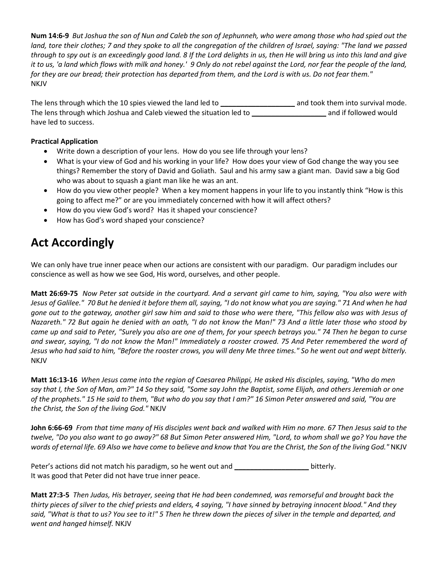**Num 14:6-9** *But Joshua the son of Nun and Caleb the son of Jephunneh, who were among those who had spied out the land, tore their clothes; 7 and they spoke to all the congregation of the children of Israel, saying: "The land we passed through to spy out is an exceedingly good land. 8 If the Lord delights in us, then He will bring us into this land and give it to us, 'a land which flows with milk and honey.' 9 Only do not rebel against the Lord, nor fear the people of the land, for they are our bread; their protection has departed from them, and the Lord is with us. Do not fear them."*  NKJV

The lens through which the 10 spies viewed the land led to *and took them into survival mode.* The lens through which Joshua and Caleb viewed the situation led to **\_\_\_\_\_\_\_\_\_\_\_\_\_\_\_\_\_\_\_** and if followed would have led to success.

#### **Practical Application**

- Write down a description of your lens. How do you see life through your lens?
- What is your view of God and his working in your life? How does your view of God change the way you see things? Remember the story of David and Goliath. Saul and his army saw a giant man. David saw a big God who was about to squash a giant man like he was an ant.
- How do you view other people? When a key moment happens in your life to you instantly think "How is this going to affect me?" or are you immediately concerned with how it will affect others?
- How do you view God's word? Has it shaped your conscience?
- How has God's word shaped your conscience?

## **Act Accordingly**

We can only have true inner peace when our actions are consistent with our paradigm. Our paradigm includes our conscience as well as how we see God, His word, ourselves, and other people.

**Matt 26:69-75** *Now Peter sat outside in the courtyard. And a servant girl came to him, saying, "You also were with Jesus of Galilee." 70 But he denied it before them all, saying, "I do not know what you are saying." 71 And when he had gone out to the gateway, another girl saw him and said to those who were there, "This fellow also was with Jesus of Nazareth." 72 But again he denied with an oath, "I do not know the Man!" 73 And a little later those who stood by came up and said to Peter, "Surely you also are one of them, for your speech betrays you." 74 Then he began to curse and swear, saying, "I do not know the Man!" Immediately a rooster crowed. 75 And Peter remembered the word of Jesus who had said to him, "Before the rooster crows, you will deny Me three times." So he went out and wept bitterly.* NKJV

**Matt 16:13-16** *When Jesus came into the region of Caesarea Philippi, He asked His disciples, saying, "Who do men say that I, the Son of Man, am?" 14 So they said, "Some say John the Baptist, some Elijah, and others Jeremiah or one of the prophets." 15 He said to them, "But who do you say that I am?" 16 Simon Peter answered and said, "You are the Christ, the Son of the living God."* NKJV

**John 6:66-69** *From that time many of His disciples went back and walked with Him no more. 67 Then Jesus said to the twelve, "Do you also want to go away?" 68 But Simon Peter answered Him, "Lord, to whom shall we go? You have the words of eternal life. 69 Also we have come to believe and know that You are the Christ, the Son of the living God."* NKJV

Peter's actions did not match his paradigm, so he went out and **\_\_\_\_\_\_\_\_\_\_\_\_\_\_\_\_\_\_\_** bitterly. It was good that Peter did not have true inner peace.

**Matt 27:3-5** *Then Judas, His betrayer, seeing that He had been condemned, was remorseful and brought back the thirty pieces of silver to the chief priests and elders, 4 saying, "I have sinned by betraying innocent blood." And they*  said, "What is that to us? You see to it!" 5 Then he threw down the pieces of silver in the temple and departed, and *went and hanged himself.* NKJV